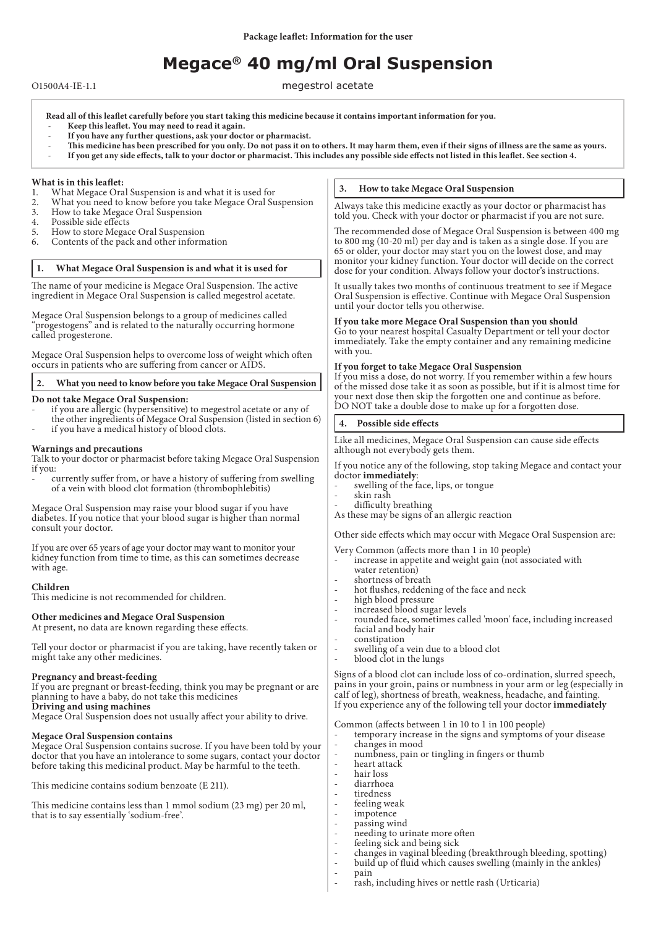# **Megace® 40 mg/ml Oral Suspension**

O1500A4-IE-1.1 megestrol acetate

- **Read all of this leaflet carefully before you start taking this medicine because it contains important information for you.** - **Keep this leaflet. You may need to read it again.**
- **If you have any further questions, ask your doctor or pharmacist.**
- **This medicine has been prescribed for you only. Do not pass it on to others. It may harm them, even if their signs of illness are the same as yours.** - **If you get any side effects, talk to your doctor or pharmacist. This includes any possible side effects not listed in this leaflet. See section 4.**

#### **What is in this leaflet:**

- 1. What Megace Oral Suspension is and what it is used for<br>2. What you need to know before you take Megace Oral Su
- 2. What you need to know before you take Megace Oral Suspension
- 3. How to take Megace Oral Suspension<br>4. Possible side effects
- 4. Possible side effects<br>5. How to store Megac
- 5. How to store Megace Oral Suspension
- Contents of the pack and other information

#### **1. What Megace Oral Suspension is and what it is used for**

The name of your medicine is Megace Oral Suspension. The active ingredient in Megace Oral Suspension is called megestrol acetate.

Megace Oral Suspension belongs to a group of medicines called "progestogens" and is related to the naturally occurring hormone called progesterone.

Megace Oral Suspension helps to overcome loss of weight which often occurs in patients who are suffering from cancer or AIDS.

# **2. What you need to know before you take Megace Oral Suspension**

## **Do not take Megace Oral Suspension:**

- if you are allergic (hypersensitive) to megestrol acetate or any of the other ingredients of Megace Oral Suspension (listed in section 6)
- if you have a medical history of blood clots.

## **Warnings and precautions**

Talk to your doctor or pharmacist before taking Megace Oral Suspension if you:

- currently suffer from, or have a history of suffering from swelling of a vein with blood clot formation (thrombophlebitis)

Megace Oral Suspension may raise your blood sugar if you have diabetes. If you notice that your blood sugar is higher than normal consult your doctor.

If you are over 65 years of age your doctor may want to monitor your kidney function from time to time, as this can sometimes decrease with age.

#### **Children**

This medicine is not recommended for children.

#### **Other medicines and Megace Oral Suspension**

At present, no data are known regarding these effects.

Tell your doctor or pharmacist if you are taking, have recently taken or might take any other medicines.

# **Pregnancy and breast-feeding**

If you are pregnant or breast-feeding, think you may be pregnant or are planning to have a baby, do not take this medicines

**Driving and using machines**

Megace Oral Suspension does not usually affect your ability to drive.

#### **Megace Oral Suspension contains**

Megace Oral Suspension contains sucrose. If you have been told by your doctor that you have an intolerance to some sugars, contact your doctor before taking this medicinal product. May be harmful to the teeth.

This medicine contains sodium benzoate (E 211).

This medicine contains less than 1 mmol sodium (23 mg) per 20 ml, that is to say essentially 'sodium-free'.

# **3. How to take Megace Oral Suspension**

Always take this medicine exactly as your doctor or pharmacist has told you. Check with your doctor or pharmacist if you are not sure.

The recommended dose of Megace Oral Suspension is between 400 mg to 800 mg (10-20 ml) per day and is taken as a single dose. If you are 65 or older, your doctor may start you on the lowest dose, and may monitor your kidney function. Your doctor will decide on the correct dose for your condition. Always follow your doctor's instructions.

It usually takes two months of continuous treatment to see if Megace Oral Suspension is effective. Continue with Megace Oral Suspension until your doctor tells you otherwise.

# **If you take more Megace Oral Suspension than you should**

Go to your nearest hospital Casualty Department or tell your doctor immediately. Take the empty container and any remaining medicine with you.

#### **If you forget to take Megace Oral Suspension**

If you miss a dose, do not worry. If you remember within a few hours of the missed dose take it as soon as possible, but if it is almost time for your next dose then skip the forgotten one and continue as before. DO NOT take a double dose to make up for a forgotten dose.

#### **4. Possible side effects**

Like all medicines, Megace Oral Suspension can cause side effects although not everybody gets them.

If you notice any of the following, stop taking Megace and contact your doctor **immediately**:

- swelling of the face, lips, or tongue
- skin rash
- difficulty breathing

As these may be signs of an allergic reaction

Other side effects which may occur with Megace Oral Suspension are:

Very Common (affects more than 1 in 10 people)

- increase in appetite and weight gain (not associated with water retention)
- shortness of breath
- hot flushes, reddening of the face and neck
- high blood pressure
- increased blood sugar levels
- rounded face, sometimes called 'moon' face, including increased facial and body hair
- constipation
- swelling of a vein due to a blood clot
- blood clot in the lungs

Signs of a blood clot can include loss of co-ordination, slurred speech, pains in your groin, pains or numbness in your arm or leg (especially in calf of leg), shortness of breath, weakness, headache, and fainting. If you experience any of the following tell your doctor **immediately**

Common (affects between 1 in 10 to 1 in 100 people)

- temporary increase in the signs and symptoms of your disease - changes in mood
- numbness, pain or tingling in fingers or thumb
- heart attack
- hair loss
- diarrhoea
- tiredness
- feeling weak
- impotence
- passing wind
- needing to urinate more often
- feeling sick and being sick - changes in vaginal bleeding (breakthrough bleeding, spotting)
- build up of fluid which causes swelling (mainly in the ankles)
	- pain
- rash, including hives or nettle rash (Urticaria)